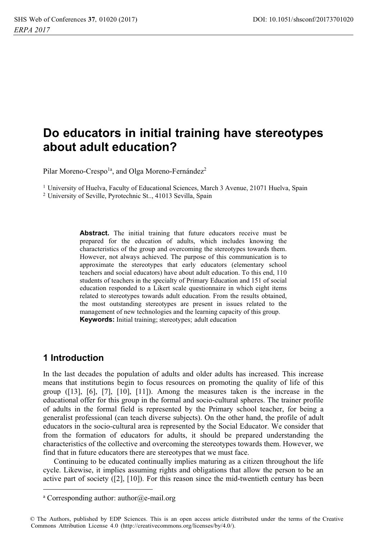# Do educators in initial training have stereotypes about adult education?

Pilar Moreno-Crespo<sup>1a</sup>, and Olga Moreno-Fernández<sup>2</sup>

<sup>1</sup> University of Huelva, Faculty of Educational Sciences, March 3 Avenue, 21071 Huelva, Spain <sup>2</sup> University of Seville, Pyrotechnic St., 41013 Sevilla, Spain

> Abstract. The initial training that future educators receive must be prepared for the education of adults, which includes knowing the characteristics of the group and overcoming the stereotypes towards them. However, not always achieved. The purpose of this communication is to approximate the stereotypes that early educators (elementary school teachers and social educators) have about adult education. To this end, 110 students of teachers in the specialty of Primary Education and 151 of social education responded to a Likert scale questionnaire in which eight items related to stereotypes towards adult education. From the results obtained, the most outstanding stereotypes are present in issues related to the management of new technologies and the learning capacity of this group. **Keywords:** Initial training; stereotypes; adult education

### 1 Introduction

In the last decades the population of adults and older adults has increased. This increase means that institutions begin to focus resources on promoting the quality of life of this group  $(13]$ ,  $[6]$ ,  $[7]$ ,  $[10]$ ,  $[11]$ ). Among the measures taken is the increase in the educational offer for this group in the formal and socio-cultural spheres. The trainer profile of adults in the formal field is represented by the Primary school teacher, for being a generalist professional (can teach diverse subjects). On the other hand, the profile of adult educators in the socio-cultural area is represented by the Social Educator. We consider that from the formation of educators for adults, it should be prepared understanding the characteristics of the collective and overcoming the stereotypes towards them. However, we find that in future educators there are stereotypes that we must face.

Continuing to be educated continually implies maturing as a citizen throughout the life cycle. Likewise, it implies assuming rights and obligations that allow the person to be an active part of society  $(2]$ ,  $[10]$ ). For this reason since the mid-twentieth century has been

<sup>&</sup>lt;sup>a</sup> Corresponding author: author@e-mail.org

<sup>©</sup> The Authors, published by EDP Sciences. This is an open access article distributed under the terms of the Creative Commons Attribution License 4.0 (http://creativecommons.org/licenses/by/4.0/).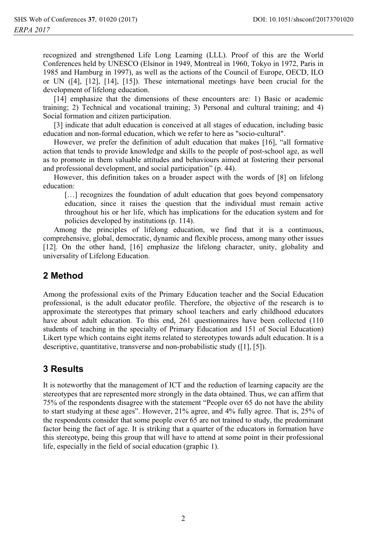recognized and strengthened Life Long Learning (LLL). Proof of this are the World Conferences held by UNESCO (Elsinor in 1949, Montreal in 1960, Tokyo in 1972, Paris in 1985 and Hamburg in 1997), as well as the actions of the Council of Europe, OECD, ILO or UN ([4], [12], [14], [15]). These international meetings have been crucial for the development of lifelong education.

[14] emphasize that the dimensions of these encounters are: 1) Basic or academic training; 2) Technical and vocational training; 3) Personal and cultural training; and 4) Social formation and citizen participation.

[3] indicate that adult education is conceived at all stages of education, including basic education and non-formal education, which we refer to here as "socio-cultural".

However, we prefer the definition of adult education that makes  $[16]$ , "all formative action that tends to provide knowledge and skills to the people of post-school age, as well as to promote in them valuable attitudes and behaviours aimed at fostering their personal and professional development, and social participation" (p. 44).

However, this definition takes on a broader aspect with the words of [8] on lifelong education:

[...] recognizes the foundation of adult education that goes beyond compensatory education, since it raises the question that the individual must remain active throughout his or her life, which has implications for the education system and for policies developed by institutions (p. 114).

Among the principles of lifelong education, we find that it is a continuous, comprehensive, global, democratic, dynamic and flexible process, among many other issues [12]. On the other hand, [16] emphasize the lifelong character, unity, globality and universality of Lifelong Education.

# 2 Method

Among the professional exits of the Primary Education teacher and the Social Education professional, is the adult educator profile. Therefore, the objective of the research is to approximate the stereotypes that primary school teachers and early childhood educators have about adult education. To this end, 261 questionnaires have been collected (110) students of teaching in the specialty of Primary Education and 151 of Social Education) Likert type which contains eight items related to stereotypes towards adult education. It is a descriptive, quantitative, transverse and non-probabilistic study ([1], [5]).

# **3 Results**

It is noteworthy that the management of ICT and the reduction of learning capacity are the stereotypes that are represented more strongly in the data obtained. Thus, we can affirm that 75% of the respondents disagree with the statement "People over 65 do not have the ability to start studying at these ages". However, 21% agree, and 4% fully agree. That is, 25% of the respondents consider that some people over 65 are not trained to study, the predominant factor being the fact of age. It is striking that a quarter of the educators in formation have this stereotype, being this group that will have to attend at some point in their professional life, especially in the field of social education (graphic 1).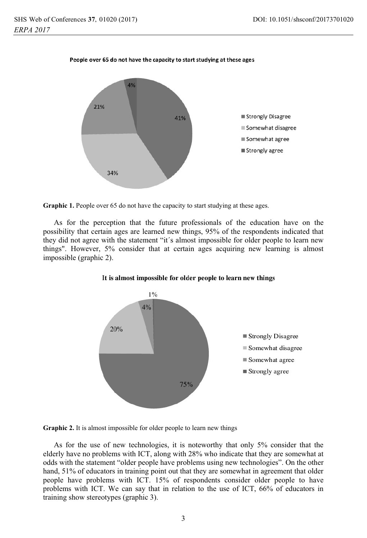



Graphic 1. People over 65 do not have the capacity to start studying at these ages.

As for the perception that the future professionals of the education have on the possibility that certain ages are learned new things, 95% of the respondents indicated that they did not agree with the statement "it's almost impossible for older people to learn new things". However, 5% consider that at certain ages acquiring new learning is almost impossible (graphic 2).





Graphic 2. It is almost impossible for older people to learn new things

As for the use of new technologies, it is noteworthy that only 5% consider that the elderly have no problems with ICT, along with 28% who indicate that they are somewhat at odds with the statement "older people have problems using new technologies". On the other hand, 51% of educators in training point out that they are somewhat in agreement that older people have problems with ICT. 15% of respondents consider older people to have problems with ICT. We can say that in relation to the use of ICT, 66% of educators in training show stereotypes (graphic 3).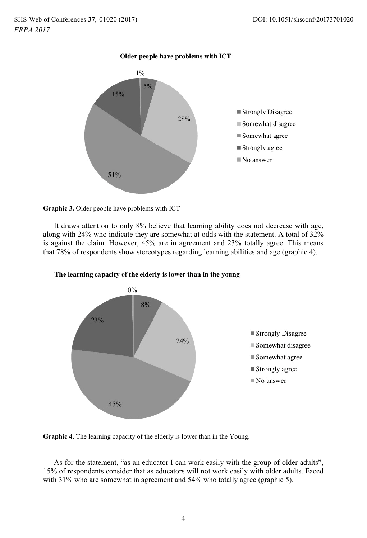

#### Graphic 3. Older people have problems with ICT

It draws attention to only 8% believe that learning ability does not decrease with age, along with 24% who indicate they are somewhat at odds with the statement. A total of 32% is against the claim. However, 45% are in agreement and 23% totally agree. This means that 78% of respondents show stereotypes regarding learning abilities and age (graphic 4).



The learning capacity of the elderly is lower than in the young

Graphic 4. The learning capacity of the elderly is lower than in the Young.

As for the statement, "as an educator I can work easily with the group of older adults", 15% of respondents consider that as educators will not work easily with older adults. Faced with  $31\%$  who are somewhat in agreement and  $54\%$  who totally agree (graphic 5).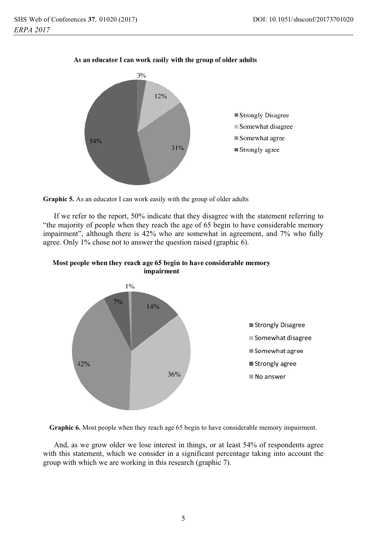

### As an educator I can work easily with the group of older adults



If we refer to the report, 50% indicate that they disagree with the statement referring to "the majority of people when they reach the age of 65 begin to have considerable memory impairment", although there is 42% who are somewhat in agreement, and 7% who fully agree. Only 1% chose not to answer the question raised (graphic 6).





Graphic 6. Most people when they reach age 65 begin to have considerable memory impairment.

And, as we grow older we lose interest in things, or at least 54% of respondents agree with this statement, which we consider in a significant percentage taking into account the group with which we are working in this research (graphic 7).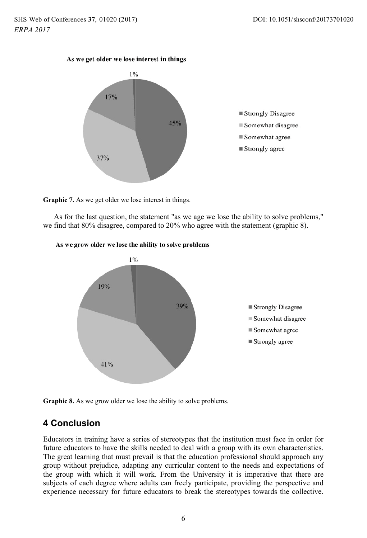### As we get older we lose interest in things



Graphic 7. As we get older we lose interest in things.

As for the last question, the statement "as we age we lose the ability to solve problems," we find that  $80\%$  disagree, compared to  $20\%$  who agree with the statement (graphic 8).



#### As we grow older we lose the ability to solve problems

Graphic 8. As we grow older we lose the ability to solve problems.

# **4 Conclusion**

Educators in training have a series of stereotypes that the institution must face in order for future educators to have the skills needed to deal with a group with its own characteristics. The great learning that must prevail is that the education professional should approach any group without prejudice, adapting any curricular content to the needs and expectations of the group with which it will work. From the University it is imperative that there are subjects of each degree where adults can freely participate, providing the perspective and experience necessary for future educators to break the stereotypes towards the collective.